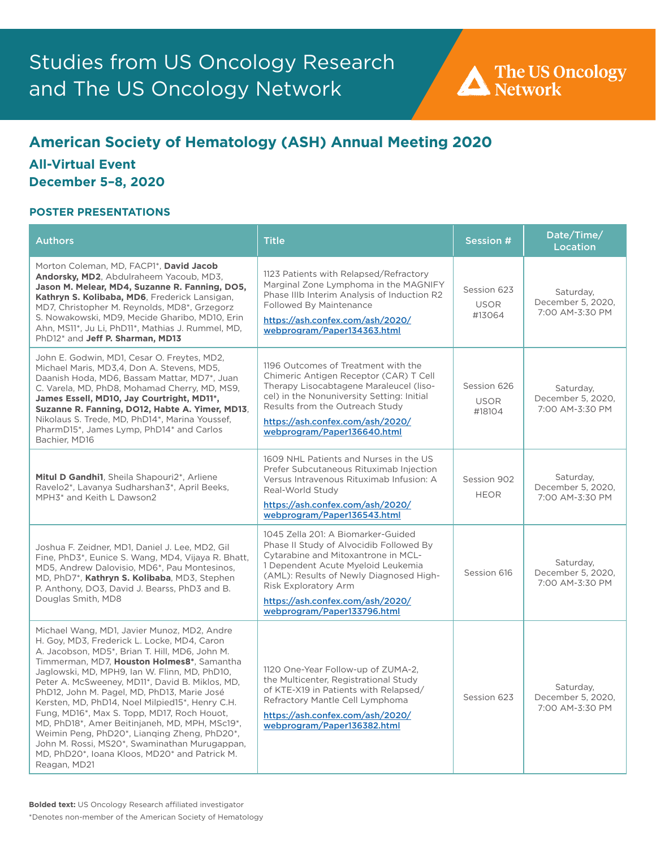# **American Society of Hematology (ASH) Annual Meeting 2020**

# **All-Virtual Event December 5–8, 2020**

| <b>Authors</b>                                                                                                                                                                                                                                                                                                                                                                                                                                                                                                                                                                                                                                                      | <b>Title</b>                                                                                                                                                                                                                                                                                     | Session #                            | Date/Time/<br><b>Location</b>                     |
|---------------------------------------------------------------------------------------------------------------------------------------------------------------------------------------------------------------------------------------------------------------------------------------------------------------------------------------------------------------------------------------------------------------------------------------------------------------------------------------------------------------------------------------------------------------------------------------------------------------------------------------------------------------------|--------------------------------------------------------------------------------------------------------------------------------------------------------------------------------------------------------------------------------------------------------------------------------------------------|--------------------------------------|---------------------------------------------------|
| Morton Coleman, MD, FACP1*, David Jacob<br>Andorsky, MD2, Abdulraheem Yacoub, MD3,<br>Jason M. Melear, MD4, Suzanne R. Fanning, DO5,<br>Kathryn S. Kolibaba, MD6, Frederick Lansigan,<br>MD7, Christopher M. Reynolds, MD8*, Grzegorz<br>S. Nowakowski, MD9, Mecide Gharibo, MD10, Erin<br>Ahn, MS11*, Ju Li, PhD11*, Mathias J. Rummel, MD,<br>PhD12 <sup>*</sup> and Jeff P. Sharman, MD13                                                                                                                                                                                                                                                                        | 1123 Patients with Relapsed/Refractory<br>Marginal Zone Lymphoma in the MAGNIFY<br>Phase IIIb Interim Analysis of Induction R2<br>Followed By Maintenance<br>https://ash.confex.com/ash/2020/<br>webprogram/Paper134363.html                                                                     | Session 623<br><b>USOR</b><br>#13064 | Saturday,<br>December 5, 2020,<br>7:00 AM-3:30 PM |
| John E. Godwin, MD1, Cesar O. Freytes, MD2,<br>Michael Maris, MD3,4, Don A. Stevens, MD5,<br>Daanish Hoda, MD6, Bassam Mattar, MD7*, Juan<br>C. Varela, MD, PhD8, Mohamad Cherry, MD, MS9,<br>James Essell, MD10, Jay Courtright, MD11*,<br>Suzanne R. Fanning, DO12, Habte A. Yimer, MD13,<br>Nikolaus S. Trede, MD, PhD14*, Marina Youssef,<br>PharmD15*, James Lymp, PhD14* and Carlos<br>Bachier, MD16                                                                                                                                                                                                                                                          | 1196 Outcomes of Treatment with the<br>Chimeric Antigen Receptor (CAR) T Cell<br>Therapy Lisocabtagene Maraleucel (liso-<br>cel) in the Nonuniversity Setting: Initial<br>Results from the Outreach Study<br>https://ash.confex.com/ash/2020/<br>webprogram/Paper136640.html                     | Session 626<br><b>USOR</b><br>#18104 | Saturday,<br>December 5, 2020,<br>7:00 AM-3:30 PM |
| Mitul D Gandhi1, Sheila Shapouri2*, Arliene<br>Ravelo2*, Lavanya Sudharshan3*, April Beeks,<br>MPH3* and Keith L Dawson2                                                                                                                                                                                                                                                                                                                                                                                                                                                                                                                                            | 1609 NHL Patients and Nurses in the US<br>Prefer Subcutaneous Rituximab Injection<br>Versus Intravenous Rituximab Infusion: A<br>Real-World Study<br>https://ash.confex.com/ash/2020/<br>webprogram/Paper136543.html                                                                             | Session 902<br><b>HEOR</b>           | Saturday,<br>December 5, 2020,<br>7:00 AM-3:30 PM |
| Joshua F. Zeidner, MD1, Daniel J. Lee, MD2, Gil<br>Fine, PhD3*, Eunice S. Wang, MD4, Vijaya R. Bhatt,<br>MD5, Andrew Dalovisio, MD6*, Pau Montesinos,<br>MD, PhD7*, Kathryn S. Kolibaba, MD3, Stephen<br>P. Anthony, DO3, David J. Bearss, PhD3 and B.<br>Douglas Smith, MD8                                                                                                                                                                                                                                                                                                                                                                                        | 1045 Zella 201: A Biomarker-Guided<br>Phase II Study of Alvocidib Followed By<br>Cytarabine and Mitoxantrone in MCL-<br>1 Dependent Acute Myeloid Leukemia<br>(AML): Results of Newly Diagnosed High-<br>Risk Exploratory Arm<br>https://ash.confex.com/ash/2020/<br>webprogram/Paper133796.html | Session 616                          | Saturday,<br>December 5, 2020,<br>7:00 AM-3:30 PM |
| Michael Wang, MD1, Javier Munoz, MD2, Andre<br>H. Goy, MD3, Frederick L. Locke, MD4, Caron<br>A. Jacobson, MD5*, Brian T. Hill, MD6, John M.<br>Timmerman, MD7, Houston Holmes8*, Samantha<br>Jaglowski, MD, MPH9, Ian W. Flinn, MD, PhD10,<br>Peter A. McSweeney, MD11*, David B. Miklos, MD,<br>PhD12, John M. Pagel, MD, PhD13, Marie José<br>Kersten, MD, PhD14, Noel Milpied15*, Henry C.H.<br>Fung, MD16*, Max S. Topp, MD17, Roch Houot,<br>MD, PhD18*, Amer Beitinjaneh, MD, MPH, MSc19*,<br>Weimin Peng, PhD20*, Lianging Zheng, PhD20*,<br>John M. Rossi, MS20*, Swaminathan Murugappan,<br>MD, PhD20*, Ioana Kloos, MD20* and Patrick M.<br>Reagan, MD21 | 1120 One-Year Follow-up of ZUMA-2,<br>the Multicenter, Registrational Study<br>of KTE-X19 in Patients with Relapsed/<br>Refractory Mantle Cell Lymphoma<br>https://ash.confex.com/ash/2020/<br>webprogram/Paper136382.html                                                                       | Session 623                          | Saturday,<br>December 5, 2020,<br>7:00 AM-3:30 PM |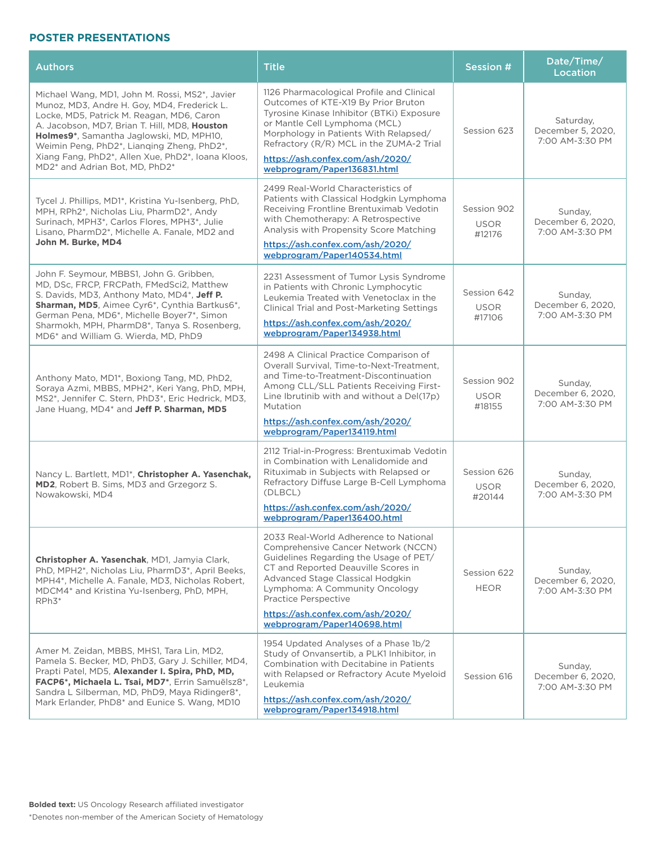| <b>Authors</b>                                                                                                                                                                                                                                                                                                                                                                                       | <b>Title</b>                                                                                                                                                                                                                                                                                                                   | Session #                            | Date/Time/<br><b>Location</b>                     |
|------------------------------------------------------------------------------------------------------------------------------------------------------------------------------------------------------------------------------------------------------------------------------------------------------------------------------------------------------------------------------------------------------|--------------------------------------------------------------------------------------------------------------------------------------------------------------------------------------------------------------------------------------------------------------------------------------------------------------------------------|--------------------------------------|---------------------------------------------------|
| Michael Wang, MD1, John M. Rossi, MS2*, Javier<br>Munoz, MD3, Andre H. Goy, MD4, Frederick L.<br>Locke, MD5, Patrick M. Reagan, MD6, Caron<br>A. Jacobson, MD7, Brian T. Hill, MD8, Houston<br>Holmes9*, Samantha Jaglowski, MD, MPH10,<br>Weimin Peng, PhD2*, Lianging Zheng, PhD2*,<br>Xiang Fang, PhD2*, Allen Xue, PhD2*, Ioana Kloos,<br>MD2 <sup>*</sup> and Adrian Bot. MD. PhD2 <sup>*</sup> | 1126 Pharmacological Profile and Clinical<br>Outcomes of KTE-X19 By Prior Bruton<br>Tyrosine Kinase Inhibitor (BTKi) Exposure<br>or Mantle Cell Lymphoma (MCL)<br>Morphology in Patients With Relapsed/<br>Refractory $(R/R)$ MCL in the ZUMA-2 Trial<br>https://ash.confex.com/ash/2020/<br>webprogram/Paper136831.html       | Session 623                          | Saturday,<br>December 5, 2020,<br>7:00 AM-3:30 PM |
| Tycel J. Phillips, MD1*, Kristina Yu-Isenberg, PhD,<br>MPH, RPh2*, Nicholas Liu, PharmD2*, Andy<br>Surinach, MPH3*, Carlos Flores, MPH3*, Julie<br>Lisano, PharmD2*, Michelle A. Fanale, MD2 and<br>John M. Burke, MD4                                                                                                                                                                               | 2499 Real-World Characteristics of<br>Patients with Classical Hodgkin Lymphoma<br>Receiving Frontline Brentuximab Vedotin<br>with Chemotherapy: A Retrospective<br>Analysis with Propensity Score Matching<br>https://ash.confex.com/ash/2020/<br>webprogram/Paper140534.html                                                  | Session 902<br><b>USOR</b><br>#12176 | Sunday,<br>December 6, 2020,<br>7:00 AM-3:30 PM   |
| John F. Seymour, MBBS1, John G. Gribben,<br>MD, DSc, FRCP, FRCPath, FMedSci2, Matthew<br>S. Davids, MD3, Anthony Mato, MD4*, Jeff P.<br>Sharman, MD5, Aimee Cyr6*, Cynthia Bartkus6*,<br>German Pena, MD6*, Michelle Boyer7*, Simon<br>Sharmokh, MPH, PharmD8*, Tanya S. Rosenberg,<br>MD6* and William G. Wierda, MD, PhD9                                                                          | 2231 Assessment of Tumor Lysis Syndrome<br>in Patients with Chronic Lymphocytic<br>Leukemia Treated with Venetoclax in the<br>Clinical Trial and Post-Marketing Settings<br>https://ash.confex.com/ash/2020/<br>webprogram/Paper134938.html                                                                                    | Session 642<br><b>USOR</b><br>#17106 | Sunday,<br>December 6, 2020,<br>7:00 AM-3:30 PM   |
| Anthony Mato, MD1*, Boxiong Tang, MD, PhD2,<br>Soraya Azmi, MBBS, MPH2*, Keri Yang, PhD, MPH,<br>MS2*, Jennifer C. Stern, PhD3*, Eric Hedrick, MD3,<br>Jane Huang, MD4 <sup>*</sup> and Jeff P. Sharman, MD5                                                                                                                                                                                         | 2498 A Clinical Practice Comparison of<br>Overall Survival, Time-to-Next-Treatment,<br>and Time-to-Treatment-Discontinuation<br>Among CLL/SLL Patients Receiving First-<br>Line Ibrutinib with and without a Del(17p)<br>Mutation<br>https://ash.confex.com/ash/2020/<br>webprogram/Paper134119.html                           | Session 902<br><b>USOR</b><br>#18155 | Sunday,<br>December 6, 2020,<br>7:00 AM-3:30 PM   |
| Nancy L. Bartlett, MD1*, Christopher A. Yasenchak,<br>MD2, Robert B. Sims, MD3 and Grzegorz S.<br>Nowakowski, MD4                                                                                                                                                                                                                                                                                    | 2112 Trial-in-Progress: Brentuximab Vedotin<br>in Combination with Lenalidomide and<br>Rituximab in Subjects with Relapsed or<br>Refractory Diffuse Large B-Cell Lymphoma<br>(DLBCL)<br>https://ash.confex.com/ash/2020/<br>webprogram/Paper136400.html                                                                        | Session 626<br><b>USOR</b><br>#20144 | Sunday,<br>December 6, 2020,<br>7:00 AM-3:30 PM   |
| Christopher A. Yasenchak, MD1, Jamyia Clark,<br>PhD, MPH2*, Nicholas Liu, PharmD3*, April Beeks,<br>MPH4*, Michelle A. Fanale, MD3, Nicholas Robert,<br>MDCM4* and Kristina Yu-Isenberg, PhD, MPH.<br>RPh3*                                                                                                                                                                                          | 2033 Real-World Adherence to National<br>Comprehensive Cancer Network (NCCN)<br>Guidelines Regarding the Usage of PET/<br>CT and Reported Deauville Scores in<br>Advanced Stage Classical Hodgkin<br>Lymphoma: A Community Oncology<br>Practice Perspective<br>https://ash.confex.com/ash/2020/<br>webprogram/Paper140698.html | Session 622<br><b>HEOR</b>           | Sunday,<br>December 6, 2020,<br>7:00 AM-3:30 PM   |
| Amer M. Zeidan, MBBS, MHS1, Tara Lin, MD2,<br>Pamela S. Becker, MD, PhD3, Gary J. Schiller, MD4,<br>Prapti Patel, MD5, Alexander I. Spira, PhD, MD,<br>FACP6*, Michaela L. Tsai, MD7*, Errin Samuëlsz8*,<br>Sandra L Silberman, MD, PhD9, Maya Ridinger8*,<br>Mark Erlander, PhD8* and Eunice S. Wang, MD10                                                                                          | 1954 Updated Analyses of a Phase 1b/2<br>Study of Onvansertib, a PLK1 Inhibitor, in<br>Combination with Decitabine in Patients<br>with Relapsed or Refractory Acute Myeloid<br>Leukemia<br>https://ash.confex.com/ash/2020/<br>webprogram/Paper134918.html                                                                     | Session 616                          | Sunday,<br>December 6, 2020,<br>7:00 AM-3:30 PM   |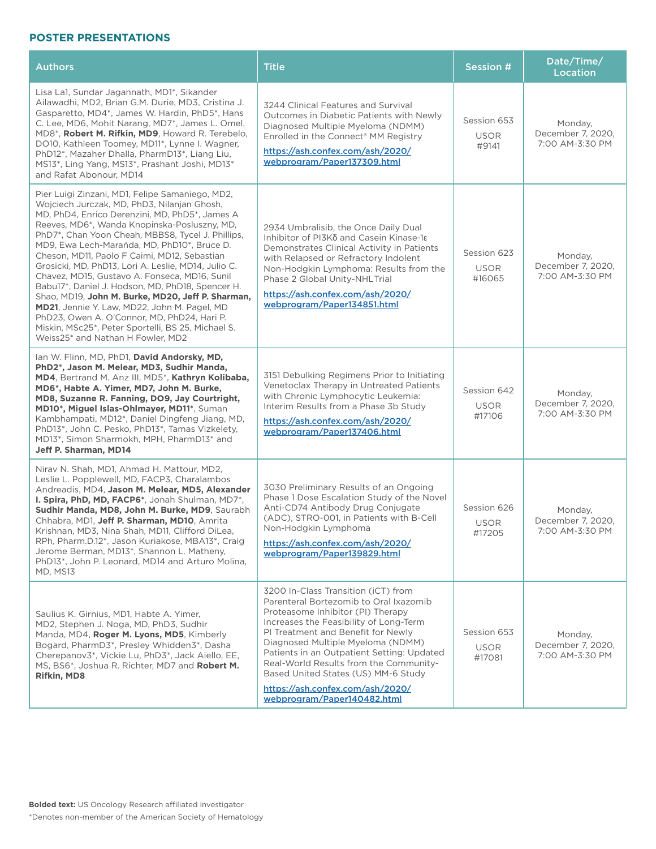| <b>Authors</b>                                                                                                                                                                                                                                                                                                                                                                                                                                                                                                                                                                                                                                                                                                                                                  | <b>Title</b>                                                                                                                                                                                                                                                                                                                                                                                                                              | <b>Session #</b>                     | Date/Time/<br>Location                          |
|-----------------------------------------------------------------------------------------------------------------------------------------------------------------------------------------------------------------------------------------------------------------------------------------------------------------------------------------------------------------------------------------------------------------------------------------------------------------------------------------------------------------------------------------------------------------------------------------------------------------------------------------------------------------------------------------------------------------------------------------------------------------|-------------------------------------------------------------------------------------------------------------------------------------------------------------------------------------------------------------------------------------------------------------------------------------------------------------------------------------------------------------------------------------------------------------------------------------------|--------------------------------------|-------------------------------------------------|
| Lisa La1, Sundar Jagannath, MD1*, Sikander<br>Ailawadhi, MD2, Brian G.M. Durie, MD3, Cristina J.<br>Gasparetto, MD4*, James W. Hardin, PhD5*, Hans<br>C. Lee, MD6, Mohit Narang, MD7*, James L. Omel,<br>MD8*, Robert M. Rifkin, MD9, Howard R. Terebelo,<br>DO10, Kathleen Toomey, MD11*, Lynne I. Wagner,<br>PhD12*, Mazaher Dhalla, PharmD13*, Liang Liu,<br>MS13*, Ling Yang, MS13*, Prashant Joshi, MD13*<br>and Rafat Abonour, MD14                                                                                                                                                                                                                                                                                                                       | 3244 Clinical Features and Survival<br>Outcomes in Diabetic Patients with Newly<br>Diagnosed Multiple Myeloma (NDMM)<br>Enrolled in the Connect® MM Registry<br>https://ash.confex.com/ash/2020/<br>webprogram/Paper137309.html                                                                                                                                                                                                           | Session 653<br><b>USOR</b><br>#9141  | Monday,<br>December 7, 2020,<br>7:00 AM-3:30 PM |
| Pier Luigi Zinzani, MD1, Felipe Samaniego, MD2,<br>Wojciech Jurczak, MD, PhD3, Nilanjan Ghosh,<br>MD, PhD4, Enrico Derenzini, MD, PhD5*, James A<br>Reeves, MD6*, Wanda Knopinska-Posluszny, MD,<br>PhD7*, Chan Yoon Cheah, MBBS8, Tycel J. Phillips,<br>MD9, Ewa Lech-Marańda, MD, PhD10*, Bruce D.<br>Cheson, MD11, Paolo F Caimi, MD12, Sebastian<br>Grosicki, MD, PhD13, Lori A. Leslie, MD14, Julio C.<br>Chavez, MD15, Gustavo A. Fonseca, MD16, Sunil<br>Babu17*, Daniel J. Hodson, MD, PhD18, Spencer H.<br>Shao, MD19, John M. Burke, MD20, Jeff P. Sharman,<br>MD21, Jennie Y. Law, MD22, John M. Pagel, MD<br>PhD23, Owen A. O'Connor, MD, PhD24, Hari P.<br>Miskin, MSc25*, Peter Sportelli, BS 25, Michael S.<br>Weiss25* and Nathan H Fowler, MD2 | 2934 Umbralisib, the Once Daily Dual<br>Inhibitor of PI3Kδ and Casein Kinase-1ε<br>Demonstrates Clinical Activity in Patients<br>with Relapsed or Refractory Indolent<br>Non-Hodgkin Lymphoma: Results from the<br>Phase 2 Global Unity-NHL Trial<br>https://ash.confex.com/ash/2020/<br>webprogram/Paper134851.html                                                                                                                      | Session 623<br><b>USOR</b><br>#16065 | Monday,<br>December 7, 2020,<br>7:00 AM-3:30 PM |
| Ian W. Flinn, MD, PhD1, David Andorsky, MD,<br>PhD2*, Jason M. Melear, MD3, Sudhir Manda,<br>MD4, Bertrand M. Anz III, MD5*, Kathryn Kolibaba,<br>MD6*, Habte A. Yimer, MD7, John M. Burke,<br>MD8, Suzanne R. Fanning, DO9, Jay Courtright,<br>MD10*, Miguel Islas-Ohlmayer, MD11*, Suman<br>Kambhampati, MD12*, Daniel Dingfeng Jiang, MD,<br>PhD13*, John C. Pesko, PhD13*, Tamas Vizkelety,<br>MD13*, Simon Sharmokh, MPH, PharmD13* and<br>Jeff P. Sharman, MD14                                                                                                                                                                                                                                                                                           | 3151 Debulking Regimens Prior to Initiating<br>Venetoclax Therapy in Untreated Patients<br>with Chronic Lymphocytic Leukemia:<br>Interim Results from a Phase 3b Study<br>https://ash.confex.com/ash/2020/<br>webprogram/Paper137406.html                                                                                                                                                                                                 | Session 642<br><b>USOR</b><br>#17106 | Monday,<br>December 7, 2020,<br>7:00 AM-3:30 PM |
| Nirav N. Shah, MD1, Ahmad H. Mattour, MD2,<br>Leslie L. Popplewell, MD, FACP3, Charalambos<br>Andreadis, MD4, Jason M. Melear, MD5, Alexander<br>I. Spira, PhD, MD, FACP6*, Jonah Shulman, MD7*,<br>Sudhir Manda, MD8, John M. Burke, MD9, Saurabh<br>Chhabra, MD1, Jeff P. Sharman, MD10, Amrita<br>Krishnan, MD3, Nina Shah, MD11, Clifford DiLea,<br>RPh, Pharm.D.12*, Jason Kuriakose, MBA13*, Craig<br>Jerome Berman, MD13*, Shannon L. Matheny,<br>PhD13*, John P. Leonard, MD14 and Arturo Molina,<br>MD, MS13                                                                                                                                                                                                                                           | 3030 Preliminary Results of an Ongoing<br>Phase 1 Dose Escalation Study of the Novel<br>Anti-CD74 Antibody Drug Conjugate<br>(ADC), STRO-001, in Patients with B-Cell<br>Non-Hodgkin Lymphoma<br>https://ash.confex.com/ash/2020/<br>webprogram/Paper139829.html                                                                                                                                                                          | Session 626<br><b>USOR</b><br>#17205 | Monday,<br>December 7, 2020,<br>7:00 AM-3:30 PM |
| Saulius K. Girnius, MD1, Habte A. Yimer,<br>MD2, Stephen J. Noga, MD, PhD3, Sudhir<br>Manda, MD4, Roger M. Lyons, MD5, Kimberly<br>Bogard, PharmD3*, Presley Whidden3*, Dasha<br>Cherepanov3*, Vickie Lu, PhD3*, Jack Aiello, EE,<br>MS, BS6*, Joshua R. Richter, MD7 and Robert M.<br>Rifkin, MD8                                                                                                                                                                                                                                                                                                                                                                                                                                                              | 3200 In-Class Transition (iCT) from<br>Parenteral Bortezomib to Oral Ixazomib<br>Proteasome Inhibitor (PI) Therapy<br>Increases the Feasibility of Long-Term<br>PI Treatment and Benefit for Newly<br>Diagnosed Multiple Myeloma (NDMM)<br>Patients in an Outpatient Setting: Updated<br>Real-World Results from the Community-<br>Based United States (US) MM-6 Study<br>https://ash.confex.com/ash/2020/<br>webprogram/Paper140482.html | Session 653<br><b>USOR</b><br>#17081 | Monday,<br>December 7, 2020.<br>7:00 AM-3:30 PM |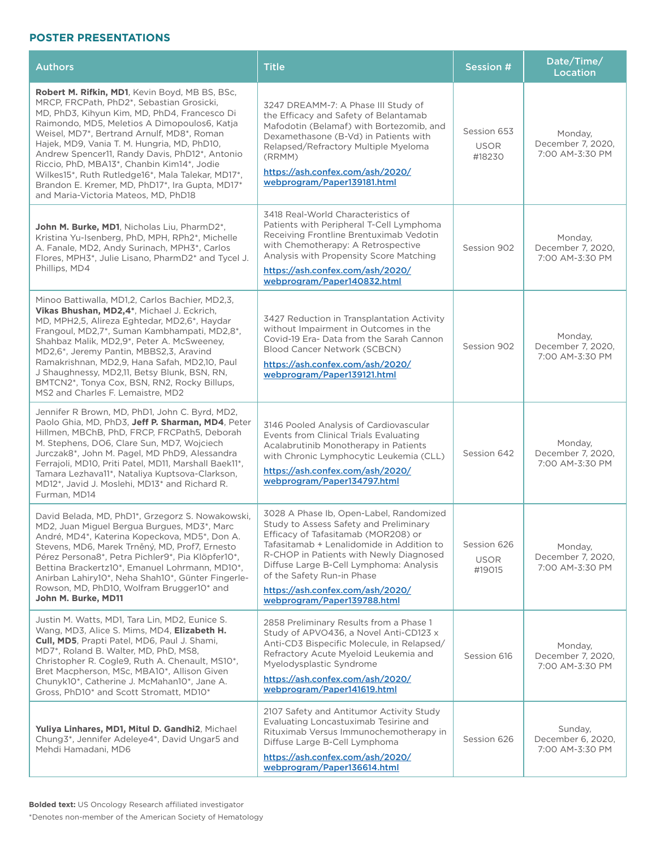| <b>Authors</b>                                                                                                                                                                                                                                                                                                                                                                                                                                                                                                                                   | <b>Title</b>                                                                                                                                                                                                                                                                                                                                                 | Session #                            | Date/Time/<br>Location                          |
|--------------------------------------------------------------------------------------------------------------------------------------------------------------------------------------------------------------------------------------------------------------------------------------------------------------------------------------------------------------------------------------------------------------------------------------------------------------------------------------------------------------------------------------------------|--------------------------------------------------------------------------------------------------------------------------------------------------------------------------------------------------------------------------------------------------------------------------------------------------------------------------------------------------------------|--------------------------------------|-------------------------------------------------|
| <b>Robert M. Rifkin, MD1</b> , Kevin Boyd, MB BS, BSc,<br>MRCP, FRCPath, PhD2*, Sebastian Grosicki,<br>MD, PhD3, Kihyun Kim, MD, PhD4, Francesco Di<br>Raimondo, MD5, Meletios A Dimopoulos6, Katja<br>Weisel, MD7*, Bertrand Arnulf, MD8*, Roman<br>Hajek, MD9, Vania T. M. Hungria, MD, PhD10,<br>Andrew Spencer11, Randy Davis, PhD12*, Antonio<br>Riccio, PhD, MBA13*, Chanbin Kim14*, Jodie<br>Wilkes15*, Ruth Rutledge16*, Mala Talekar, MD17*,<br>Brandon E. Kremer, MD, PhD17*, Ira Gupta, MD17*<br>and Maria-Victoria Mateos, MD, PhD18 | 3247 DREAMM-7: A Phase III Study of<br>the Efficacy and Safety of Belantamab<br>Mafodotin (Belamaf) with Bortezomib, and<br>Dexamethasone (B-Vd) in Patients with<br>Relapsed/Refractory Multiple Myeloma<br>(RRMM)<br>https://ash.confex.com/ash/2020/<br>webprogram/Paper139181.html                                                                       | Session 653<br><b>USOR</b><br>#18230 | Monday,<br>December 7, 2020,<br>7:00 AM-3:30 PM |
| John M. Burke, MD1, Nicholas Liu, PharmD2*,<br>Kristina Yu-Isenberg, PhD, MPH, RPh2*, Michelle<br>A. Fanale, MD2, Andy Surinach, MPH3*, Carlos<br>Flores, MPH3*, Julie Lisano, PharmD2* and Tycel J.<br>Phillips, MD4                                                                                                                                                                                                                                                                                                                            | 3418 Real-World Characteristics of<br>Patients with Peripheral T-Cell Lymphoma<br>Receiving Frontline Brentuximab Vedotin<br>with Chemotherapy: A Retrospective<br>Analysis with Propensity Score Matching<br>https://ash.confex.com/ash/2020/<br>webprogram/Paper140832.html                                                                                | Session 902                          | Monday,<br>December 7, 2020,<br>7:00 AM-3:30 PM |
| Minoo Battiwalla, MD1,2, Carlos Bachier, MD2,3,<br>Vikas Bhushan, MD2,4*, Michael J. Eckrich,<br>MD, MPH2,5, Alireza Eghtedar, MD2,6*, Haydar<br>Frangoul, MD2,7*, Suman Kambhampati, MD2,8*,<br>Shahbaz Malik, MD2,9 <sup>*</sup> , Peter A. McSweeney,<br>MD2,6*, Jeremy Pantin, MBBS2,3, Aravind<br>Ramakrishnan, MD2,9, Hana Safah, MD2,10, Paul<br>J Shaughnessy, MD2,11, Betsy Blunk, BSN, RN,<br>BMTCN2*, Tonya Cox, BSN, RN2, Rocky Billups,<br>MS2 and Charles F. Lemaistre, MD2                                                        | 3427 Reduction in Transplantation Activity<br>without Impairment in Outcomes in the<br>Covid-19 Era- Data from the Sarah Cannon<br>Blood Cancer Network (SCBCN)<br>https://ash.confex.com/ash/2020/<br>webprogram/Paper139121.html                                                                                                                           | Session 902                          | Monday,<br>December 7, 2020,<br>7:00 AM-3:30 PM |
| Jennifer R Brown, MD, PhD1, John C. Byrd, MD2,<br>Paolo Ghia, MD, PhD3, Jeff P. Sharman, MD4, Peter<br>Hillmen, MBChB, PhD, FRCP, FRCPath5, Deborah<br>M. Stephens, DO6, Clare Sun, MD7, Wojciech<br>Jurczak8*, John M. Pagel, MD PhD9, Alessandra<br>Ferrajoli, MD10, Priti Patel, MD11, Marshall Baek11*,<br>Tamara Lezhava11*, Nataliya Kuptsova-Clarkson,<br>MD12*, Javid J. Moslehi, MD13* and Richard R.<br>Furman, MD14                                                                                                                   | 3146 Pooled Analysis of Cardiovascular<br>Events from Clinical Trials Evaluating<br>Acalabrutinib Monotherapy in Patients<br>with Chronic Lymphocytic Leukemia (CLL)<br>https://ash.confex.com/ash/2020/<br>webprogram/Paper134797.html                                                                                                                      | Session 642                          | Monday,<br>December 7, 2020,<br>7:00 AM-3:30 PM |
| David Belada, MD, PhD1*, Grzegorz S. Nowakowski,<br>MD2, Juan Miguel Bergua Burgues, MD3*, Marc<br>André, MD4*, Katerina Kopeckova, MD5*, Don A.<br>Stevens, MD6, Marek Trněný, MD, Prof7, Ernesto<br>Pérez Persona8*, Petra Pichler9*, Pia Klöpfer10*,<br>Bettina Brackertz10*, Emanuel Lohrmann, MD10*,<br>Anirban Lahiry10*, Neha Shah10*, Günter Fingerle-<br>Rowson, MD, PhD10, Wolfram Brugger10* and<br>John M. Burke, MD11                                                                                                               | 3028 A Phase Ib, Open-Label, Randomized<br>Study to Assess Safety and Preliminary<br>Efficacy of Tafasitamab (MOR208) or<br>Tafasitamab + Lenalidomide in Addition to<br>R-CHOP in Patients with Newly Diagnosed<br>Diffuse Large B-Cell Lymphoma: Analysis<br>of the Safety Run-in Phase<br>https://ash.confex.com/ash/2020/<br>webprogram/Paper139788.html | Session 626<br><b>USOR</b><br>#19015 | Monday,<br>December 7, 2020.<br>7:00 AM-3:30 PM |
| Justin M. Watts, MD1, Tara Lin, MD2, Eunice S.<br>Wang, MD3, Alice S. Mims, MD4, Elizabeth H.<br>Cull, MD5, Prapti Patel, MD6, Paul J. Shami,<br>MD7*, Roland B. Walter, MD, PhD, MS8,<br>Christopher R. Cogle9, Ruth A. Chenault, MS10*,<br>Bret Macpherson, MSc, MBA10*, Allison Given<br>Chunyk10*, Catherine J. McMahan10*, Jane A.<br>Gross, PhD10* and Scott Stromatt, MD10*                                                                                                                                                               | 2858 Preliminary Results from a Phase 1<br>Study of APVO436, a Novel Anti-CD123 x<br>Anti-CD3 Bispecific Molecule, in Relapsed/<br>Refractory Acute Myeloid Leukemia and<br>Myelodysplastic Syndrome<br>https://ash.confex.com/ash/2020/<br>webprogram/Paper141619.html                                                                                      | Session 616                          | Monday,<br>December 7, 2020,<br>7:00 AM-3:30 PM |
| Yuliya Linhares, MD1, Mitul D. Gandhi2, Michael<br>Chung3*, Jennifer Adeleye4*, David Ungar5 and<br>Mehdi Hamadani, MD6                                                                                                                                                                                                                                                                                                                                                                                                                          | 2107 Safety and Antitumor Activity Study<br>Evaluating Loncastuximab Tesirine and<br>Rituximab Versus Immunochemotherapy in<br>Diffuse Large B-Cell Lymphoma<br>https://ash.confex.com/ash/2020/<br>webprogram/Paper136614.html                                                                                                                              | Session 626                          | Sunday,<br>December 6, 2020,<br>7:00 AM-3:30 PM |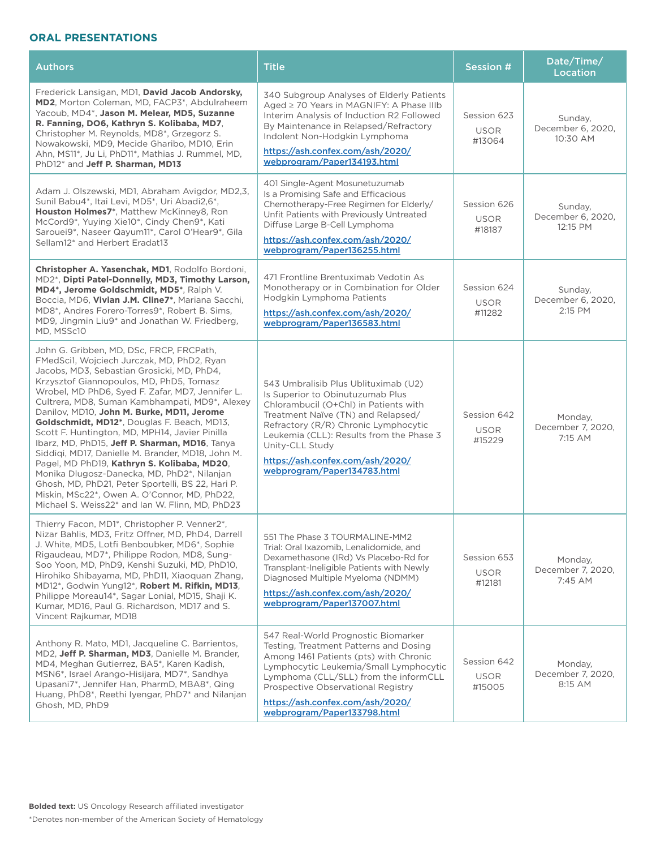## **ORAL PRESENTATIONS**

| <b>Authors</b>                                                                                                                                                                                                                                                                                                                                                                                                                                                                                                                                                                                                                                                                                                                                                                                     | <b>Title</b>                                                                                                                                                                                                                                                                                                                      | <b>Session #</b>                     | Date/Time/<br><b>Location</b>            |
|----------------------------------------------------------------------------------------------------------------------------------------------------------------------------------------------------------------------------------------------------------------------------------------------------------------------------------------------------------------------------------------------------------------------------------------------------------------------------------------------------------------------------------------------------------------------------------------------------------------------------------------------------------------------------------------------------------------------------------------------------------------------------------------------------|-----------------------------------------------------------------------------------------------------------------------------------------------------------------------------------------------------------------------------------------------------------------------------------------------------------------------------------|--------------------------------------|------------------------------------------|
| Frederick Lansigan, MD1, David Jacob Andorsky,<br>MD2, Morton Coleman, MD, FACP3*, Abdulraheem<br>Yacoub. MD4*. Jason M. Melear. MD5. Suzanne<br>R. Fanning, DO6, Kathryn S. Kolibaba, MD7.<br>Christopher M. Reynolds, MD8*, Grzegorz S.<br>Nowakowski, MD9, Mecide Gharibo, MD10, Erin<br>Ahn, MS11*, Ju Li, PhD11*, Mathias J. Rummel, MD,<br>PhD12* and Jeff P. Sharman, MD13                                                                                                                                                                                                                                                                                                                                                                                                                  | 340 Subgroup Analyses of Elderly Patients<br>Aged ≥ 70 Years in MAGNIFY: A Phase IIIb<br>Interim Analysis of Induction R2 Followed<br>By Maintenance in Relapsed/Refractory<br>Indolent Non-Hodgkin Lymphoma<br>https://ash.confex.com/ash/2020/<br>webprogram/Paper134193.html                                                   | Session 623<br><b>USOR</b><br>#13064 | Sunday,<br>December 6, 2020,<br>10:30 AM |
| Adam J. Olszewski, MD1, Abraham Avigdor, MD2,3,<br>Sunil Babu4*, Itai Levi, MD5*, Uri Abadi2,6*,<br>Houston Holmes7*, Matthew McKinney8, Ron<br>McCord9*, Yuying Xie10*, Cindy Chen9*, Kati<br>Sarouei9*, Naseer Qayum11*, Carol O'Hear9*, Gila<br>Sellam12 <sup>*</sup> and Herbert Eradat13                                                                                                                                                                                                                                                                                                                                                                                                                                                                                                      | 401 Single-Agent Mosunetuzumab<br>Is a Promising Safe and Efficacious<br>Chemotherapy-Free Regimen for Elderly/<br>Unfit Patients with Previously Untreated<br>Diffuse Large B-Cell Lymphoma<br>https://ash.confex.com/ash/2020/<br>webprogram/Paper136255.html                                                                   | Session 626<br><b>USOR</b><br>#18187 | Sunday,<br>December 6, 2020,<br>12:15 PM |
| Christopher A. Yasenchak, MD1, Rodolfo Bordoni,<br>MD2*, Dipti Patel-Donnelly, MD3, Timothy Larson,<br>MD4*, Jerome Goldschmidt, MD5*, Ralph V.<br>Boccia, MD6, Vivian J.M. Cline7*, Mariana Sacchi,<br>MD8*, Andres Forero-Torres9*, Robert B, Sims.<br>MD9, Jingmin Liu9* and Jonathan W. Friedberg,<br>MD, MSSc10                                                                                                                                                                                                                                                                                                                                                                                                                                                                               | 471 Frontline Brentuximab Vedotin As<br>Monotherapy or in Combination for Older<br>Hodgkin Lymphoma Patients<br>https://ash.confex.com/ash/2020/<br>webprogram/Paper136583.html                                                                                                                                                   | Session 624<br><b>USOR</b><br>#11282 | Sunday,<br>December 6, 2020,<br>2:15 PM  |
| John G. Gribben, MD, DSc, FRCP, FRCPath,<br>FMedSci1, Wojciech Jurczak, MD, PhD2, Ryan<br>Jacobs, MD3, Sebastian Grosicki, MD, PhD4,<br>Krzysztof Giannopoulos, MD, PhD5, Tomasz<br>Wrobel, MD PhD6, Syed F. Zafar, MD7, Jennifer L.<br>Cultrera, MD8, Suman Kambhampati, MD9*, Alexey<br>Danilov, MD10, John M. Burke, MD11, Jerome<br>Goldschmidt, MD12*, Douglas F. Beach, MD13,<br>Scott F. Huntington, MD, MPH14, Javier Pinilla<br>Ibarz, MD, PhD15, Jeff P. Sharman, MD16, Tanya<br>Siddiqi, MD17, Danielle M. Brander, MD18, John M.<br>Pagel, MD PhD19, Kathryn S. Kolibaba, MD20,<br>Monika Dlugosz-Danecka, MD, PhD2*, Nilanjan<br>Ghosh, MD, PhD21, Peter Sportelli, BS 22, Hari P.<br>Miskin, MSc22*, Owen A. O'Connor, MD, PhD22,<br>Michael S. Weiss22* and Ian W. Flinn, MD, PhD23 | 543 Umbralisib Plus Ublituximab (U2)<br>Is Superior to Obinutuzumab Plus<br>Chlorambucil (O+Chl) in Patients with<br>Treatment Naïve (TN) and Relapsed/<br>Refractory (R/R) Chronic Lymphocytic<br>Leukemia (CLL): Results from the Phase 3<br>Unity-CLL Study<br>https://ash.confex.com/ash/2020/<br>webprogram/Paper134783.html | Session 642<br><b>USOR</b><br>#15229 | Monday,<br>December 7, 2020,<br>7:15 AM  |
| Thierry Facon, MD1*, Christopher P. Venner2*,<br>Nizar Bahlis, MD3, Fritz Offner, MD, PhD4, Darrell<br>J. White, MD5, Lotfi Benboubker, MD6*, Sophie<br>Rigaudeau, MD7*, Philippe Rodon, MD8, Sung-<br>Soo Yoon, MD, PhD9, Kenshi Suzuki, MD, PhD10,<br>Hirohiko Shibayama, MD, PhD11, Xiaoquan Zhang,<br>MD12*, Godwin Yung12*, Robert M. Rifkin, MD13,<br>Philippe Moreau14*, Sagar Lonial, MD15, Shaji K.<br>Kumar, MD16, Paul G. Richardson, MD17 and S.<br>Vincent Rajkumar, MD18                                                                                                                                                                                                                                                                                                             | 551 The Phase 3 TOURMALINE-MM2<br>Trial: Oral Ixazomib, Lenalidomide, and<br>Dexamethasone (IRd) Vs Placebo-Rd for<br>Transplant-Ineligible Patients with Newly<br>Diagnosed Multiple Myeloma (NDMM)<br>https://ash.confex.com/ash/2020/<br>webprogram/Paper137007.html                                                           | Session 653<br><b>USOR</b><br>#12181 | Monday,<br>December 7, 2020,<br>7:45 AM  |
| Anthony R. Mato, MD1, Jacqueline C. Barrientos,<br>MD2, Jeff P. Sharman, MD3, Danielle M. Brander,<br>MD4, Meghan Gutierrez, BA5*, Karen Kadish,<br>MSN6*, Israel Arango-Hisijara, MD7*, Sandhya<br>Upasani7*, Jennifer Han, PharmD, MBA8*, Qing<br>Huang, PhD8*, Reethi Iyengar, PhD7* and Nilanjan<br>Ghosh, MD, PhD9                                                                                                                                                                                                                                                                                                                                                                                                                                                                            | 547 Real-World Prognostic Biomarker<br>Testing, Treatment Patterns and Dosing<br>Among 1461 Patients (pts) with Chronic<br>Lymphocytic Leukemia/Small Lymphocytic<br>Lymphoma (CLL/SLL) from the informCLL<br>Prospective Observational Registry<br>https://ash.confex.com/ash/2020/<br>webprogram/Paper133798.html               | Session 642<br><b>USOR</b><br>#15005 | Monday,<br>December 7, 2020,<br>8:15 AM  |